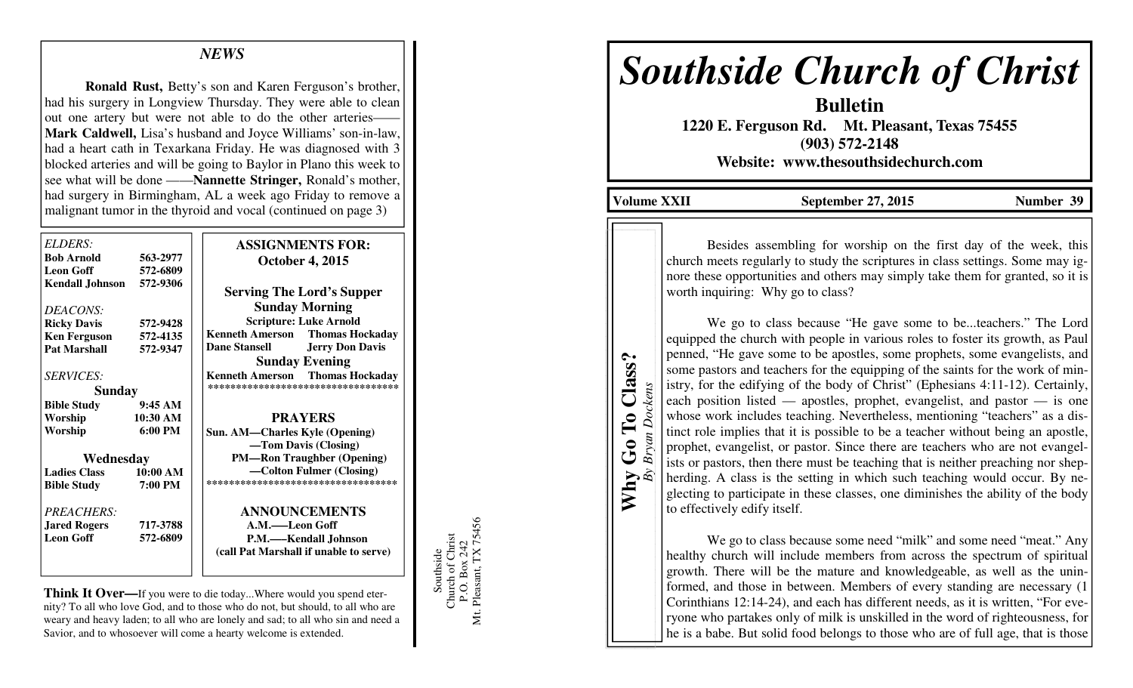## *NEWS*

 **Ronald Rust,** Betty's son and Karen Ferguson's brother, had his surgery in Longview Thursday. They were able to clean out one artery but were not able to do the other arteries—— **Mark Caldwell,** Lisa's husband and Joyce Williams' son-in-law, had a heart cath in Texarkana Friday. He was diagnosed with 3 blocked arteries and will be going to Baylor in Plano this week to see what will be done ——**Nannette Stringer,** Ronald's mother, had surgery in Birmingham, AL a week ago Friday to remove a malignant tumor in the thyroid and vocal (continued on page 3)

| ELDERS:<br><b>Bob Arnold</b><br><b>Leon Goff</b> | 563-2977             | <b>ASSIGNMENTS FOR:</b><br><b>October 4, 2015</b> |
|--------------------------------------------------|----------------------|---------------------------------------------------|
| <b>Kendall Johnson</b>                           | 572-6809<br>572-9306 | <b>Serving The Lord's Supper</b>                  |
| DEACONS:                                         |                      | <b>Sunday Morning</b>                             |
| <b>Ricky Davis</b>                               | 572-9428             | <b>Scripture: Luke Arnold</b>                     |
| <b>Ken Ferguson</b>                              | 572-4135             | <b>Kenneth Amerson</b><br><b>Thomas Hockaday</b>  |
| <b>Pat Marshall</b>                              | 572-9347             | <b>Dane Stansell</b><br><b>Jerry Don Davis</b>    |
|                                                  |                      | <b>Sunday Evening</b>                             |
| <b>SERVICES:</b>                                 |                      | <b>Thomas Hockaday</b><br><b>Kenneth Amerson</b>  |
| <b>Sunday</b>                                    |                      | *********************************                 |
| <b>Bible Study</b>                               | 9:45AM               |                                                   |
| Worship                                          | 10:30 AM             | <b>PRAYERS</b>                                    |
| Worship                                          | $6:00 \text{ PM}$    | Sun. AM—Charles Kyle (Opening)                    |
|                                                  |                      | -Tom Davis (Closing)                              |
| Wednesday                                        |                      | <b>PM-Ron Traughber (Opening)</b>                 |
| <b>Ladies Class</b>                              | 10:00 AM             | —Colton Fulmer (Closing)                          |
| <b>Bible Study</b>                               | 7:00 PM              | ***********************************               |
| PREACHERS:                                       |                      | <b>ANNOUNCEMENTS</b>                              |
| <b>Jared Rogers</b>                              | 717-3788             | A.M.-Leon Goff                                    |
| <b>Leon Goff</b>                                 | 572-6809             | P.M.—–Kendall Johnson                             |
|                                                  |                      | (call Pat Marshall if unable to serve)            |
|                                                  |                      |                                                   |

**Think It Over—**If you were to die today...Where would you spend eternity? To all who love God, and to those who do not, but should, to all who are weary and heavy laden; to all who are lonely and sad; to all who sin and need a Savior, and to whosoever will come a hearty welcome is extended.

Southside<br>Church of Christ<br>P.O. Box 242<br>Mt. Pleasant, TX 75456 Mt. Pleasant, TX 75456 Church of Christ P.O. Box 242 Southside

## *Southside Church of Christ*

**Bulletin 1220 E. Ferguson Rd. Mt. Pleasant, Texas 75455 (903) 572-2148 Website: www.thesouthsidechurch.com** 

Volume XXII September 27, 2015 Number 39

**Why Go To Class?**  *By Bryan Dockens* 

 $W$ hy

**Bryan Dockens** 

Go To Class?

 Besides assembling for worship on the first day of the week, this church meets regularly to study the scriptures in class settings. Some may ignore these opportunities and others may simply take them for granted, so it is worth inquiring: Why go to class?

 We go to class because "He gave some to be...teachers." The Lord equipped the church with people in various roles to foster its growth, as Paul penned, "He gave some to be apostles, some prophets, some evangelists, and some pastors and teachers for the equipping of the saints for the work of ministry, for the edifying of the body of Christ" (Ephesians 4:11-12). Certainly, each position listed — apostles, prophet, evangelist, and pastor — is one whose work includes teaching. Nevertheless, mentioning "teachers" as a distinct role implies that it is possible to be a teacher without being an apostle, prophet, evangelist, or pastor. Since there are teachers who are not evangelists or pastors, then there must be teaching that is neither preaching nor shepherding. A class is the setting in which such teaching would occur. By neglecting to participate in these classes, one diminishes the ability of the body to effectively edify itself.

 We go to class because some need "milk" and some need "meat." Any healthy church will include members from across the spectrum of spiritual growth. There will be the mature and knowledgeable, as well as the uninformed, and those in between. Members of every standing are necessary (1 Corinthians 12:14-24), and each has different needs, as it is written, "For everyone who partakes only of milk is unskilled in the word of righteousness, for he is a babe. But solid food belongs to those who are of full age, that is those